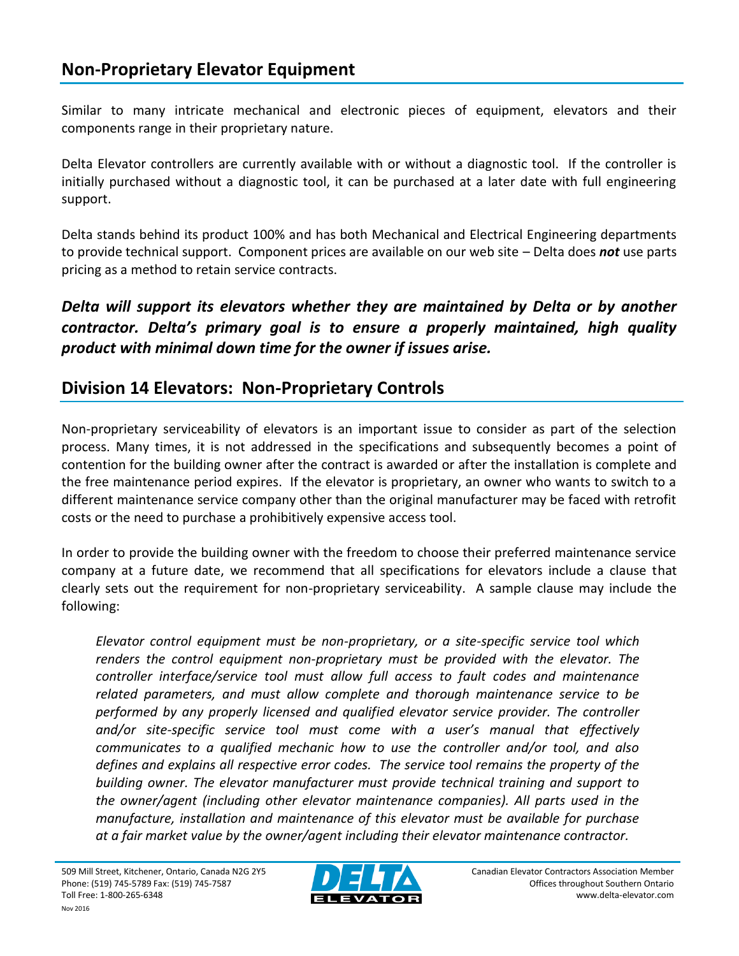Similar to many intricate mechanical and electronic pieces of equipment, elevators and their components range in their proprietary nature.

Delta Elevator controllers are currently available with or without a diagnostic tool. If the controller is initially purchased without a diagnostic tool, it can be purchased at a later date with full engineering support.

Delta stands behind its product 100% and has both Mechanical and Electrical Engineering departments to provide technical support. Component prices are available on our web site – Delta does *not* use parts pricing as a method to retain service contracts.

## *Delta will support its elevators whether they are maintained by Delta or by another contractor. Delta's primary goal is to ensure a properly maintained, high quality product with minimal down time for the owner if issues arise.*

## **Division 14 Elevators: Non-Proprietary Controls**

Non-proprietary serviceability of elevators is an important issue to consider as part of the selection process. Many times, it is not addressed in the specifications and subsequently becomes a point of contention for the building owner after the contract is awarded or after the installation is complete and the free maintenance period expires. If the elevator is proprietary, an owner who wants to switch to a different maintenance service company other than the original manufacturer may be faced with retrofit costs or the need to purchase a prohibitively expensive access tool.

In order to provide the building owner with the freedom to choose their preferred maintenance service company at a future date, we recommend that all specifications for elevators include a clause that clearly sets out the requirement for non-proprietary serviceability. A sample clause may include the following:

*Elevator control equipment must be non-proprietary, or a site-specific service tool which renders the control equipment non-proprietary must be provided with the elevator. The controller interface/service tool must allow full access to fault codes and maintenance related parameters, and must allow complete and thorough maintenance service to be performed by any properly licensed and qualified elevator service provider. The controller and/or site-specific service tool must come with a user's manual that effectively communicates to a qualified mechanic how to use the controller and/or tool, and also defines and explains all respective error codes. The service tool remains the property of the building owner. The elevator manufacturer must provide technical training and support to the owner/agent (including other elevator maintenance companies). All parts used in the manufacture, installation and maintenance of this elevator must be available for purchase at a fair market value by the owner/agent including their elevator maintenance contractor.*